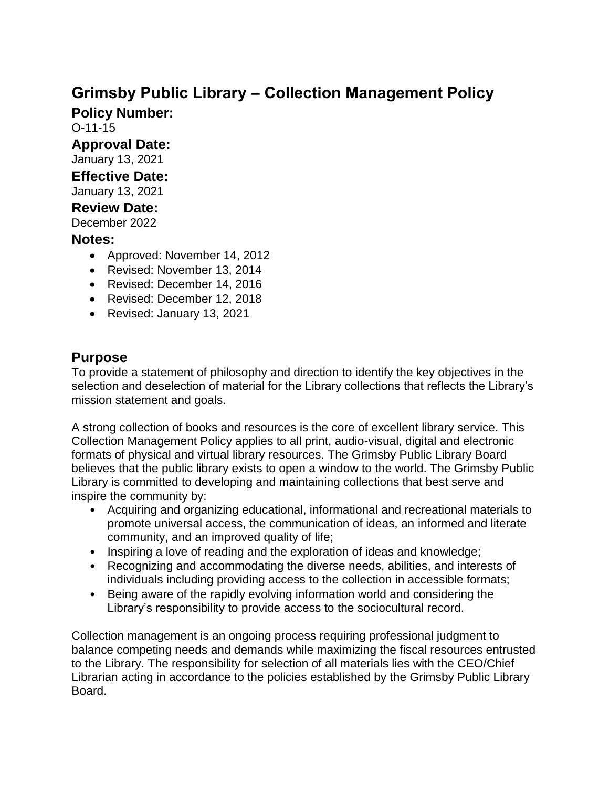# **Grimsby Public Library – Collection Management Policy**

**Policy Number:** 

O-11-15

**Approval Date:** 

January 13, 2021

## **Effective Date:**

January 13, 2021

#### **Review Date:**

December 2022

#### **Notes:**

- Approved: November 14, 2012
- Revised: November 13, 2014
- Revised: December 14, 2016
- Revised: December 12, 2018
- Revised: January 13, 2021

## **Purpose**

To provide a statement of philosophy and direction to identify the key objectives in the selection and deselection of material for the Library collections that reflects the Library's mission statement and goals.

A strong collection of books and resources is the core of excellent library service. This Collection Management Policy applies to all print, audio-visual, digital and electronic formats of physical and virtual library resources. The Grimsby Public Library Board believes that the public library exists to open a window to the world. The Grimsby Public Library is committed to developing and maintaining collections that best serve and inspire the community by:

- Acquiring and organizing educational, informational and recreational materials to promote universal access, the communication of ideas, an informed and literate community, and an improved quality of life;
- Inspiring a love of reading and the exploration of ideas and knowledge;
- Recognizing and accommodating the diverse needs, abilities, and interests of individuals including providing access to the collection in accessible formats;
- Being aware of the rapidly evolving information world and considering the Library's responsibility to provide access to the sociocultural record.

Collection management is an ongoing process requiring professional judgment to balance competing needs and demands while maximizing the fiscal resources entrusted to the Library. The responsibility for selection of all materials lies with the CEO/Chief Librarian acting in accordance to the policies established by the Grimsby Public Library Board.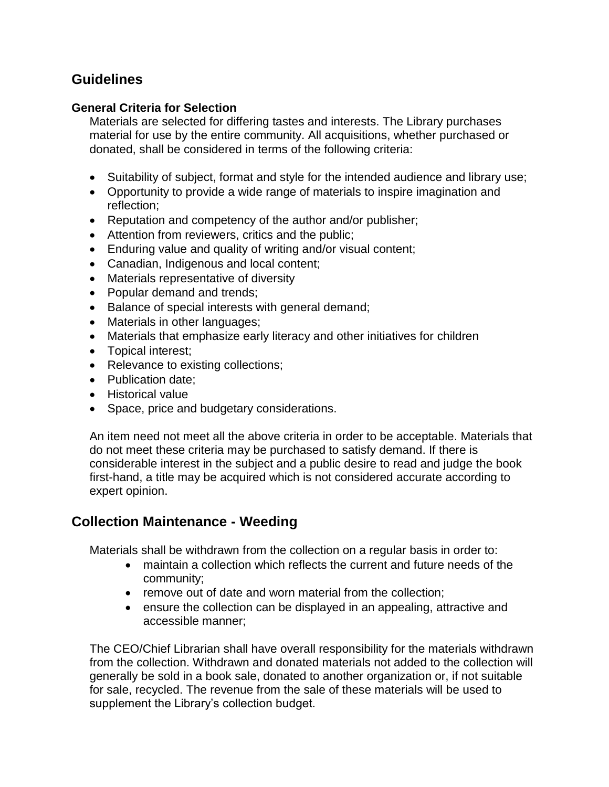#### **Guidelines**

#### **General Criteria for Selection**

Materials are selected for differing tastes and interests. The Library purchases material for use by the entire community. All acquisitions, whether purchased or donated, shall be considered in terms of the following criteria:

- Suitability of subject, format and style for the intended audience and library use;
- Opportunity to provide a wide range of materials to inspire imagination and reflection;
- Reputation and competency of the author and/or publisher;
- Attention from reviewers, critics and the public;
- Enduring value and quality of writing and/or visual content;
- Canadian, Indigenous and local content;
- Materials representative of diversity
- Popular demand and trends;
- Balance of special interests with general demand;
- Materials in other languages;
- Materials that emphasize early literacy and other initiatives for children
- Topical interest;
- Relevance to existing collections;
- Publication date:
- Historical value
- Space, price and budgetary considerations.

An item need not meet all the above criteria in order to be acceptable. Materials that do not meet these criteria may be purchased to satisfy demand. If there is considerable interest in the subject and a public desire to read and judge the book first-hand, a title may be acquired which is not considered accurate according to expert opinion.

#### **Collection Maintenance - Weeding**

Materials shall be withdrawn from the collection on a regular basis in order to:

- maintain a collection which reflects the current and future needs of the community;
- remove out of date and worn material from the collection;
- ensure the collection can be displayed in an appealing, attractive and accessible manner;

The CEO/Chief Librarian shall have overall responsibility for the materials withdrawn from the collection. Withdrawn and donated materials not added to the collection will generally be sold in a book sale, donated to another organization or, if not suitable for sale, recycled. The revenue from the sale of these materials will be used to supplement the Library's collection budget.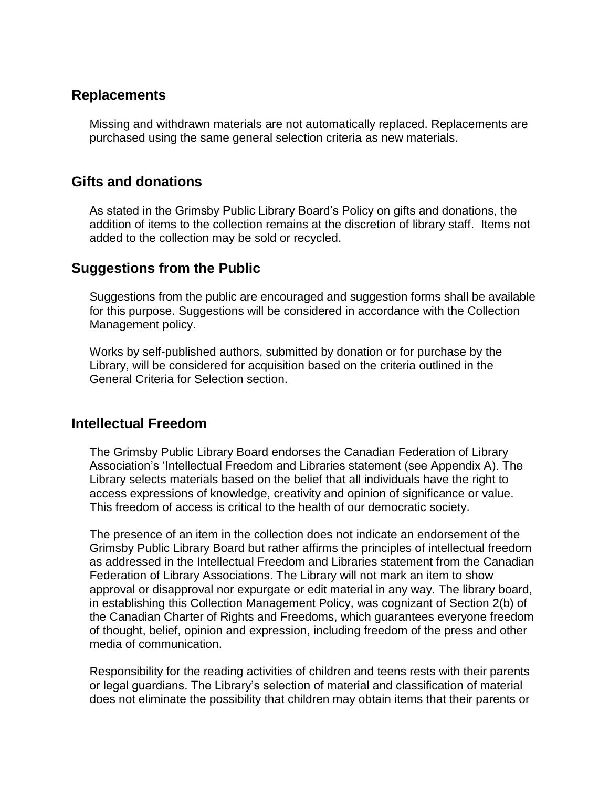#### **Replacements**

Missing and withdrawn materials are not automatically replaced. Replacements are purchased using the same general selection criteria as new materials.

#### **Gifts and donations**

As stated in the Grimsby Public Library Board's Policy on gifts and donations, the addition of items to the collection remains at the discretion of library staff. Items not added to the collection may be sold or recycled.

#### **Suggestions from the Public**

Suggestions from the public are encouraged and suggestion forms shall be available for this purpose. Suggestions will be considered in accordance with the Collection Management policy.

Works by self-published authors, submitted by donation or for purchase by the Library, will be considered for acquisition based on the criteria outlined in the General Criteria for Selection section.

#### **Intellectual Freedom**

The Grimsby Public Library Board endorses the Canadian Federation of Library Association's 'Intellectual Freedom and Libraries statement (see Appendix A). The Library selects materials based on the belief that all individuals have the right to access expressions of knowledge, creativity and opinion of significance or value. This freedom of access is critical to the health of our democratic society.

The presence of an item in the collection does not indicate an endorsement of the Grimsby Public Library Board but rather affirms the principles of intellectual freedom as addressed in the Intellectual Freedom and Libraries statement from the Canadian Federation of Library Associations. The Library will not mark an item to show approval or disapproval nor expurgate or edit material in any way. The library board, in establishing this Collection Management Policy, was cognizant of Section 2(b) of the Canadian Charter of Rights and Freedoms, which guarantees everyone freedom of thought, belief, opinion and expression, including freedom of the press and other media of communication.

Responsibility for the reading activities of children and teens rests with their parents or legal guardians. The Library's selection of material and classification of material does not eliminate the possibility that children may obtain items that their parents or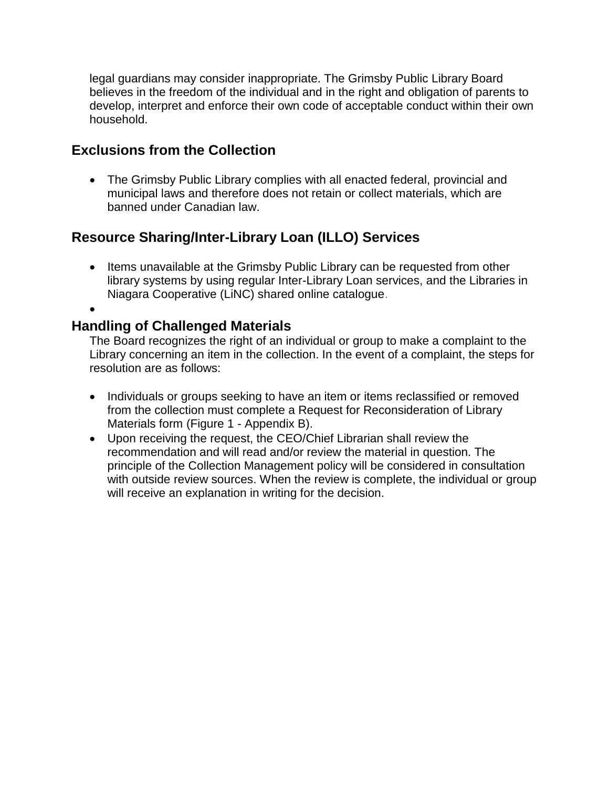legal guardians may consider inappropriate. The Grimsby Public Library Board believes in the freedom of the individual and in the right and obligation of parents to develop, interpret and enforce their own code of acceptable conduct within their own household.

#### **Exclusions from the Collection**

 The Grimsby Public Library complies with all enacted federal, provincial and municipal laws and therefore does not retain or collect materials, which are banned under Canadian law.

## **Resource Sharing/Inter-Library Loan (ILLO) Services**

• Items unavailable at the Grimsby Public Library can be requested from other library systems by using regular Inter-Library Loan services, and the Libraries in Niagara Cooperative (LiNC) shared online catalogue.

#### $\bullet$

#### **Handling of Challenged Materials**

The Board recognizes the right of an individual or group to make a complaint to the Library concerning an item in the collection. In the event of a complaint, the steps for resolution are as follows:

- Individuals or groups seeking to have an item or items reclassified or removed from the collection must complete a Request for Reconsideration of Library Materials form (Figure 1 - Appendix B).
- Upon receiving the request, the CEO/Chief Librarian shall review the recommendation and will read and/or review the material in question. The principle of the Collection Management policy will be considered in consultation with outside review sources. When the review is complete, the individual or group will receive an explanation in writing for the decision.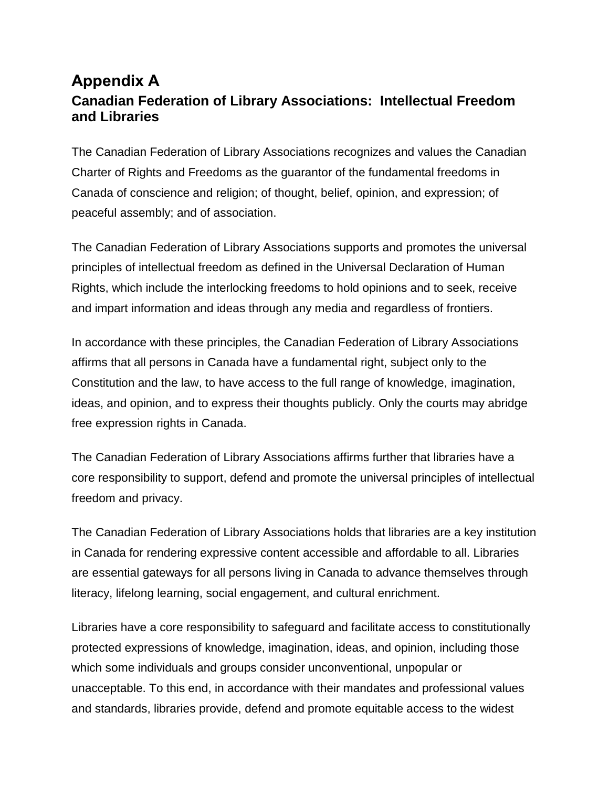## **Appendix A Canadian Federation of Library Associations: Intellectual Freedom and Libraries**

The Canadian Federation of Library Associations recognizes and values the Canadian Charter of Rights and Freedoms as the guarantor of the fundamental freedoms in Canada of conscience and religion; of thought, belief, opinion, and expression; of peaceful assembly; and of association.

The Canadian Federation of Library Associations supports and promotes the universal principles of intellectual freedom as defined in the Universal Declaration of Human Rights, which include the interlocking freedoms to hold opinions and to seek, receive and impart information and ideas through any media and regardless of frontiers.

In accordance with these principles, the Canadian Federation of Library Associations affirms that all persons in Canada have a fundamental right, subject only to the Constitution and the law, to have access to the full range of knowledge, imagination, ideas, and opinion, and to express their thoughts publicly. Only the courts may abridge free expression rights in Canada.

The Canadian Federation of Library Associations affirms further that libraries have a core responsibility to support, defend and promote the universal principles of intellectual freedom and privacy.

The Canadian Federation of Library Associations holds that libraries are a key institution in Canada for rendering expressive content accessible and affordable to all. Libraries are essential gateways for all persons living in Canada to advance themselves through literacy, lifelong learning, social engagement, and cultural enrichment.

Libraries have a core responsibility to safeguard and facilitate access to constitutionally protected expressions of knowledge, imagination, ideas, and opinion, including those which some individuals and groups consider unconventional, unpopular or unacceptable. To this end, in accordance with their mandates and professional values and standards, libraries provide, defend and promote equitable access to the widest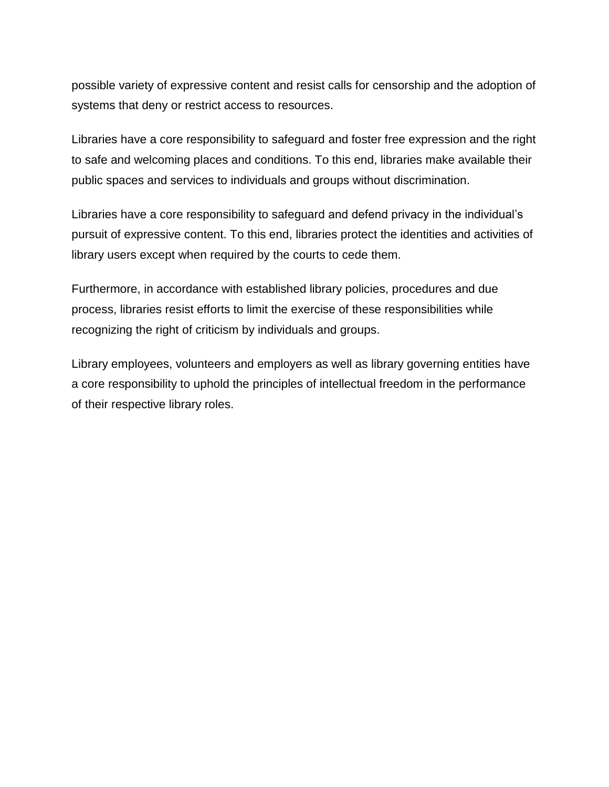possible variety of expressive content and resist calls for censorship and the adoption of systems that deny or restrict access to resources.

Libraries have a core responsibility to safeguard and foster free expression and the right to safe and welcoming places and conditions. To this end, libraries make available their public spaces and services to individuals and groups without discrimination.

Libraries have a core responsibility to safeguard and defend privacy in the individual's pursuit of expressive content. To this end, libraries protect the identities and activities of library users except when required by the courts to cede them.

Furthermore, in accordance with established library policies, procedures and due process, libraries resist efforts to limit the exercise of these responsibilities while recognizing the right of criticism by individuals and groups.

Library employees, volunteers and employers as well as library governing entities have a core responsibility to uphold the principles of intellectual freedom in the performance of their respective library roles.